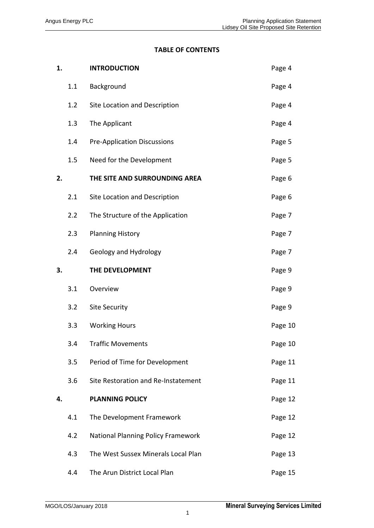# **TABLE OF CONTENTS**

| 1. |     | <b>INTRODUCTION</b>                       | Page 4  |
|----|-----|-------------------------------------------|---------|
|    | 1.1 | Background                                | Page 4  |
|    | 1.2 | Site Location and Description             | Page 4  |
|    | 1.3 | The Applicant                             | Page 4  |
|    | 1.4 | <b>Pre-Application Discussions</b>        | Page 5  |
|    | 1.5 | Need for the Development                  | Page 5  |
| 2. |     | THE SITE AND SURROUNDING AREA             | Page 6  |
|    | 2.1 | Site Location and Description             | Page 6  |
|    | 2.2 | The Structure of the Application          | Page 7  |
|    | 2.3 | <b>Planning History</b>                   | Page 7  |
|    | 2.4 | Geology and Hydrology                     | Page 7  |
| 3. |     | THE DEVELOPMENT                           | Page 9  |
|    | 3.1 | Overview                                  | Page 9  |
|    | 3.2 | <b>Site Security</b>                      | Page 9  |
|    | 3.3 | <b>Working Hours</b>                      | Page 10 |
|    | 3.4 | <b>Traffic Movements</b>                  | Page 10 |
|    | 3.5 | Period of Time for Development            | Page 11 |
|    | 3.6 | Site Restoration and Re-Instatement       | Page 11 |
| 4. |     | <b>PLANNING POLICY</b>                    | Page 12 |
|    | 4.1 | The Development Framework                 | Page 12 |
|    | 4.2 | <b>National Planning Policy Framework</b> | Page 12 |
|    | 4.3 | The West Sussex Minerals Local Plan       | Page 13 |
|    | 4.4 | The Arun District Local Plan              | Page 15 |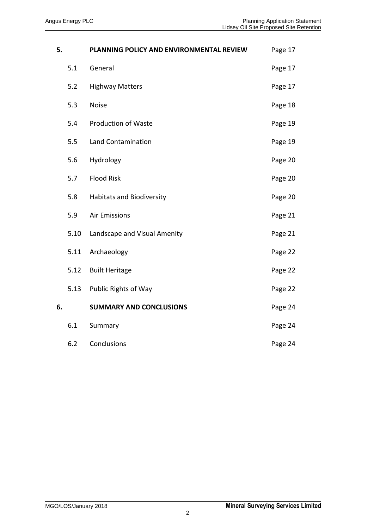| 5. |      | PLANNING POLICY AND ENVIRONMENTAL REVIEW | Page 17 |
|----|------|------------------------------------------|---------|
|    | 5.1  | General                                  | Page 17 |
|    | 5.2  | <b>Highway Matters</b>                   | Page 17 |
|    | 5.3  | <b>Noise</b>                             | Page 18 |
|    | 5.4  | <b>Production of Waste</b>               | Page 19 |
|    | 5.5  | <b>Land Contamination</b>                | Page 19 |
|    | 5.6  | Hydrology                                | Page 20 |
|    | 5.7  | <b>Flood Risk</b>                        | Page 20 |
|    | 5.8  | <b>Habitats and Biodiversity</b>         | Page 20 |
|    | 5.9  | <b>Air Emissions</b>                     | Page 21 |
|    | 5.10 | Landscape and Visual Amenity             | Page 21 |
|    | 5.11 | Archaeology                              | Page 22 |
|    | 5.12 | <b>Built Heritage</b>                    | Page 22 |
|    | 5.13 | Public Rights of Way                     | Page 22 |
| 6. |      | <b>SUMMARY AND CONCLUSIONS</b>           | Page 24 |
|    | 6.1  | Summary                                  | Page 24 |
|    | 6.2  | Conclusions                              | Page 24 |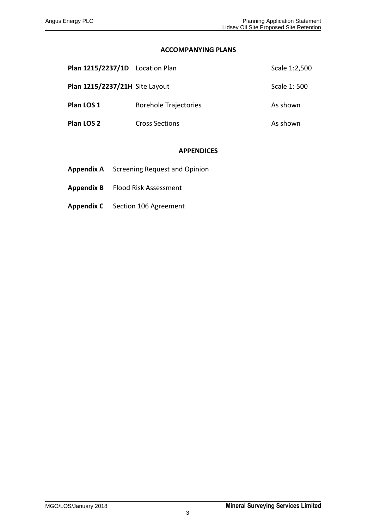### **ACCOMPANYING PLANS**

| Plan 1215/2237/1D Location Plan |                              | Scale 1:2,500 |
|---------------------------------|------------------------------|---------------|
| Plan 1215/2237/21H Site Layout  |                              | Scale 1:500   |
| Plan LOS 1                      | <b>Borehole Trajectories</b> | As shown      |
| Plan LOS 2                      | <b>Cross Sections</b>        | As shown      |

## **APPENDICES**

- **Appendix A** Screening Request and Opinion
- **Appendix B** Flood Risk Assessment
- **Appendix C** Section 106 Agreement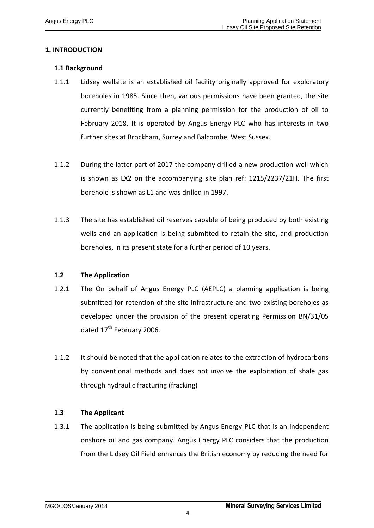# **1. INTRODUCTION**

### **1.1 Background**

- 1.1.1 Lidsey wellsite is an established oil facility originally approved for exploratory boreholes in 1985. Since then, various permissions have been granted, the site currently benefiting from a planning permission for the production of oil to February 2018. It is operated by Angus Energy PLC who has interests in two further sites at Brockham, Surrey and Balcombe, West Sussex.
- 1.1.2 During the latter part of 2017 the company drilled a new production well which is shown as LX2 on the accompanying site plan ref: 1215/2237/21H. The first borehole is shown as L1 and was drilled in 1997.
- 1.1.3 The site has established oil reserves capable of being produced by both existing wells and an application is being submitted to retain the site, and production boreholes, in its present state for a further period of 10 years.

### **1.2 The Application**

- 1.2.1 The On behalf of Angus Energy PLC (AEPLC) a planning application is being submitted for retention of the site infrastructure and two existing boreholes as developed under the provision of the present operating Permission BN/31/05 dated 17<sup>th</sup> February 2006.
- 1.1.2 It should be noted that the application relates to the extraction of hydrocarbons by conventional methods and does not involve the exploitation of shale gas through hydraulic fracturing (fracking)

### **1.3 The Applicant**

1.3.1 The application is being submitted by Angus Energy PLC that is an independent onshore oil and gas company. Angus Energy PLC considers that the production from the Lidsey Oil Field enhances the British economy by reducing the need for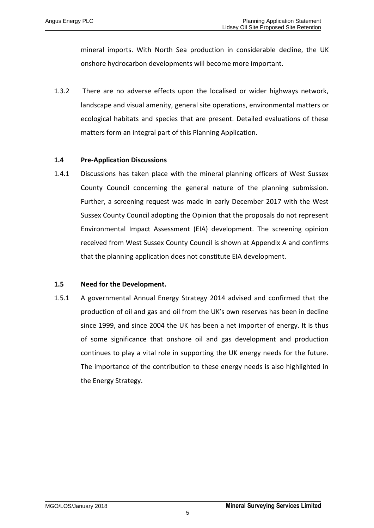mineral imports. With North Sea production in considerable decline, the UK onshore hydrocarbon developments will become more important.

1.3.2 There are no adverse effects upon the localised or wider highways network, landscape and visual amenity, general site operations, environmental matters or ecological habitats and species that are present. Detailed evaluations of these matters form an integral part of this Planning Application.

### **1.4 Pre-Application Discussions**

1.4.1 Discussions has taken place with the mineral planning officers of West Sussex County Council concerning the general nature of the planning submission. Further, a screening request was made in early December 2017 with the West Sussex County Council adopting the Opinion that the proposals do not represent Environmental Impact Assessment (EIA) development. The screening opinion received from West Sussex County Council is shown at Appendix A and confirms that the planning application does not constitute EIA development.

### **1.5 Need for the Development.**

1.5.1 A governmental Annual Energy Strategy 2014 advised and confirmed that the production of oil and gas and oil from the UK's own reserves has been in decline since 1999, and since 2004 the UK has been a net importer of energy. It is thus of some significance that onshore oil and gas development and production continues to play a vital role in supporting the UK energy needs for the future. The importance of the contribution to these energy needs is also highlighted in the Energy Strategy.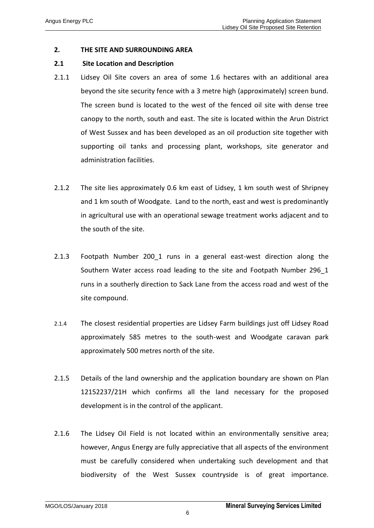### **2. THE SITE AND SURROUNDING AREA**

#### **2.1 Site Location and Description**

- 2.1.1 Lidsey Oil Site covers an area of some 1.6 hectares with an additional area beyond the site security fence with a 3 metre high (approximately) screen bund. The screen bund is located to the west of the fenced oil site with dense tree canopy to the north, south and east. The site is located within the Arun District of West Sussex and has been developed as an oil production site together with supporting oil tanks and processing plant, workshops, site generator and administration facilities.
- 2.1.2 The site lies approximately 0.6 km east of Lidsey, 1 km south west of Shripney and 1 km south of Woodgate. Land to the north, east and west is predominantly in agricultural use with an operational sewage treatment works adjacent and to the south of the site.
- 2.1.3 Footpath Number 200 1 runs in a general east-west direction along the Southern Water access road leading to the site and Footpath Number 296\_1 runs in a southerly direction to Sack Lane from the access road and west of the site compound.
- 2.1.4 The closest residential properties are Lidsey Farm buildings just off Lidsey Road approximately 585 metres to the south-west and Woodgate caravan park approximately 500 metres north of the site.
- 2.1.5 Details of the land ownership and the application boundary are shown on Plan 12152237/21H which confirms all the land necessary for the proposed development is in the control of the applicant.
- 2.1.6 The Lidsey Oil Field is not located within an environmentally sensitive area; however, Angus Energy are fully appreciative that all aspects of the environment must be carefully considered when undertaking such development and that biodiversity of the West Sussex countryside is of great importance.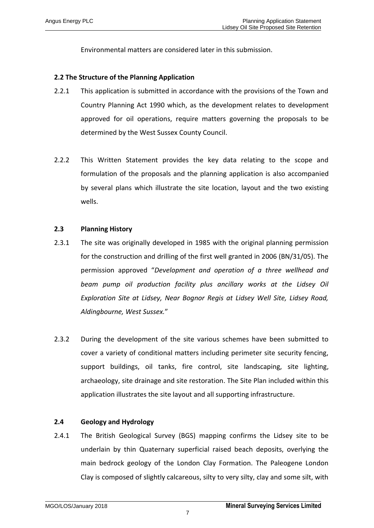Environmental matters are considered later in this submission.

## **2.2 The Structure of the Planning Application**

- 2.2.1 This application is submitted in accordance with the provisions of the Town and Country Planning Act 1990 which, as the development relates to development approved for oil operations, require matters governing the proposals to be determined by the West Sussex County Council.
- 2.2.2 This Written Statement provides the key data relating to the scope and formulation of the proposals and the planning application is also accompanied by several plans which illustrate the site location, layout and the two existing wells.

# **2.3 Planning History**

- 2.3.1 The site was originally developed in 1985 with the original planning permission for the construction and drilling of the first well granted in 2006 (BN/31/05). The permission approved "*Development and operation of a three wellhead and beam pump oil production facility plus ancillary works at the Lidsey Oil Exploration Site at Lidsey, Near Bognor Regis at Lidsey Well Site, Lidsey Road, Aldingbourne, West Sussex.*"
- 2.3.2 During the development of the site various schemes have been submitted to cover a variety of conditional matters including perimeter site security fencing, support buildings, oil tanks, fire control, site landscaping, site lighting, archaeology, site drainage and site restoration. The Site Plan included within this application illustrates the site layout and all supporting infrastructure.

### **2.4 Geology and Hydrology**

2.4.1 The British Geological Survey (BGS) mapping confirms the Lidsey site to be underlain by thin Quaternary superficial raised beach deposits, overlying the main bedrock geology of the London Clay Formation. The Paleogene London Clay is composed of slightly calcareous, silty to very silty, clay and some silt, with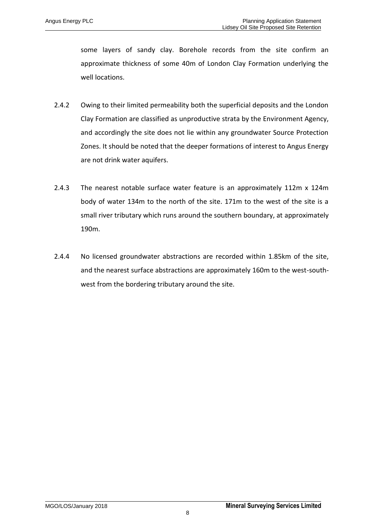some layers of sandy clay. Borehole records from the site confirm an approximate thickness of some 40m of London Clay Formation underlying the well locations.

- 2.4.2 Owing to their limited permeability both the superficial deposits and the London Clay Formation are classified as unproductive strata by the Environment Agency, and accordingly the site does not lie within any groundwater Source Protection Zones. It should be noted that the deeper formations of interest to Angus Energy are not drink water aquifers.
- 2.4.3 The nearest notable surface water feature is an approximately 112m x 124m body of water 134m to the north of the site. 171m to the west of the site is a small river tributary which runs around the southern boundary, at approximately 190m.
- 2.4.4 No licensed groundwater abstractions are recorded within 1.85km of the site, and the nearest surface abstractions are approximately 160m to the west-southwest from the bordering tributary around the site.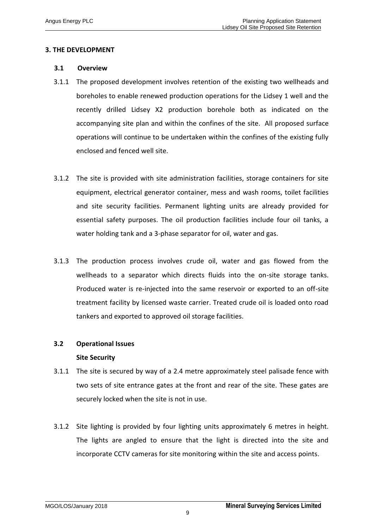## **3. THE DEVELOPMENT**

#### **3.1 Overview**

- 3.1.1 The proposed development involves retention of the existing two wellheads and boreholes to enable renewed production operations for the Lidsey 1 well and the recently drilled Lidsey X2 production borehole both as indicated on the accompanying site plan and within the confines of the site. All proposed surface operations will continue to be undertaken within the confines of the existing fully enclosed and fenced well site.
- 3.1.2 The site is provided with site administration facilities, storage containers for site equipment, electrical generator container, mess and wash rooms, toilet facilities and site security facilities. Permanent lighting units are already provided for essential safety purposes. The oil production facilities include four oil tanks, a water holding tank and a 3-phase separator for oil, water and gas.
- 3.1.3 The production process involves crude oil, water and gas flowed from the wellheads to a separator which directs fluids into the on-site storage tanks. Produced water is re-injected into the same reservoir or exported to an off-site treatment facility by licensed waste carrier. Treated crude oil is loaded onto road tankers and exported to approved oil storage facilities.

### **3.2 Operational Issues**

### **Site Security**

- 3.1.1 The site is secured by way of a 2.4 metre approximately steel palisade fence with two sets of site entrance gates at the front and rear of the site. These gates are securely locked when the site is not in use.
- 3.1.2 Site lighting is provided by four lighting units approximately 6 metres in height. The lights are angled to ensure that the light is directed into the site and incorporate CCTV cameras for site monitoring within the site and access points.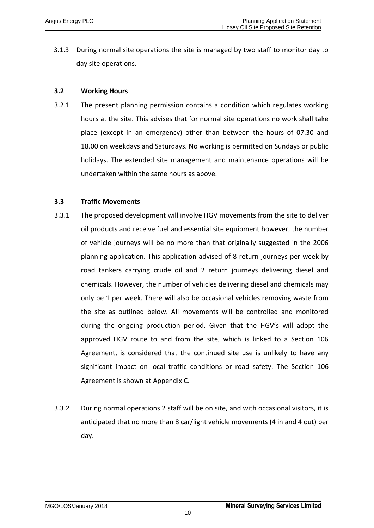3.1.3 During normal site operations the site is managed by two staff to monitor day to day site operations.

### **3.2 Working Hours**

3.2.1 The present planning permission contains a condition which regulates working hours at the site. This advises that for normal site operations no work shall take place (except in an emergency) other than between the hours of 07.30 and 18.00 on weekdays and Saturdays. No working is permitted on Sundays or public holidays. The extended site management and maintenance operations will be undertaken within the same hours as above.

# **3.3 Traffic Movements**

- 3.3.1 The proposed development will involve HGV movements from the site to deliver oil products and receive fuel and essential site equipment however, the number of vehicle journeys will be no more than that originally suggested in the 2006 planning application. This application advised of 8 return journeys per week by road tankers carrying crude oil and 2 return journeys delivering diesel and chemicals. However, the number of vehicles delivering diesel and chemicals may only be 1 per week. There will also be occasional vehicles removing waste from the site as outlined below. All movements will be controlled and monitored during the ongoing production period. Given that the HGV's will adopt the approved HGV route to and from the site, which is linked to a Section 106 Agreement, is considered that the continued site use is unlikely to have any significant impact on local traffic conditions or road safety. The Section 106 Agreement is shown at Appendix C.
- 3.3.2 During normal operations 2 staff will be on site, and with occasional visitors, it is anticipated that no more than 8 car/light vehicle movements (4 in and 4 out) per day.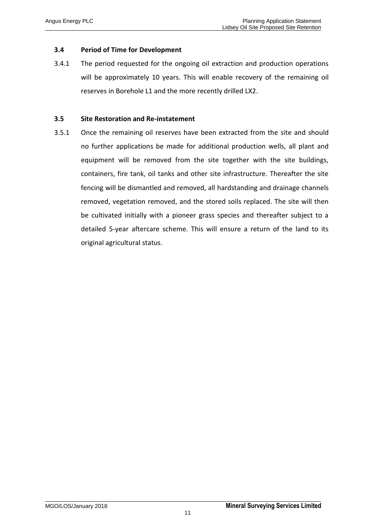## **3.4 Period of Time for Development**

3.4.1 The period requested for the ongoing oil extraction and production operations will be approximately 10 years. This will enable recovery of the remaining oil reserves in Borehole L1 and the more recently drilled LX2.

### **3.5 Site Restoration and Re-instatement**

3.5.1 Once the remaining oil reserves have been extracted from the site and should no further applications be made for additional production wells, all plant and equipment will be removed from the site together with the site buildings, containers, fire tank, oil tanks and other site infrastructure. Thereafter the site fencing will be dismantled and removed, all hardstanding and drainage channels removed, vegetation removed, and the stored soils replaced. The site will then be cultivated initially with a pioneer grass species and thereafter subject to a detailed 5-year aftercare scheme. This will ensure a return of the land to its original agricultural status.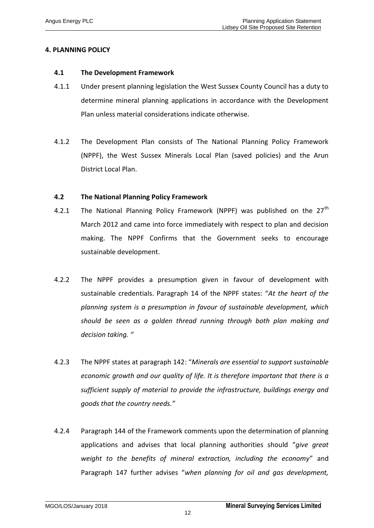# **4. PLANNING POLICY**

#### **4.1 The Development Framework**

- 4.1.1 Under present planning legislation the West Sussex County Council has a duty to determine mineral planning applications in accordance with the Development Plan unless material considerations indicate otherwise.
- 4.1.2 The Development Plan consists of The National Planning Policy Framework (NPPF), the West Sussex Minerals Local Plan (saved policies) and the Arun District Local Plan.

### **4.2 The National Planning Policy Framework**

- 4.2.1 The National Planning Policy Framework (NPPF) was published on the  $27<sup>th</sup>$ March 2012 and came into force immediately with respect to plan and decision making. The NPPF Confirms that the Government seeks to encourage sustainable development.
- 4.2.2 The NPPF provides a presumption given in favour of development with sustainable credentials. Paragraph 14 of the NPPF states: "*At the heart of the planning system is a presumption in favour of sustainable development, which should be seen as a golden thread running through both plan making and decision taking. "*
- 4.2.3 The NPPF states at paragraph 142: "*Minerals are essential to support sustainable economic growth and our quality of life. It is therefore important that there is a sufficient supply of material to provide the infrastructure, buildings energy and goods that the country needs."*
- 4.2.4 Paragraph 144 of the Framework comments upon the determination of planning applications and advises that local planning authorities should "*give great weight to the benefits of mineral extraction, including the economy*" and Paragraph 147 further advises "*when planning for oil and gas development,*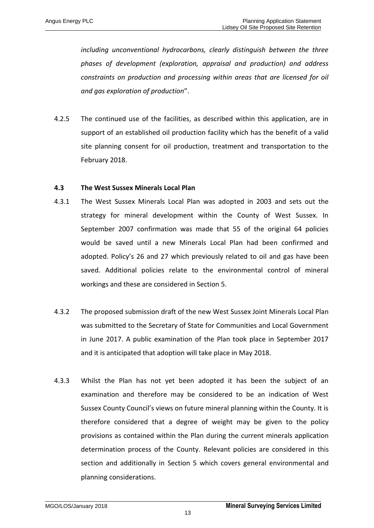*including unconventional hydrocarbons, clearly distinguish between the three phases of development (exploration, appraisal and production) and address constraints on production and processing within areas that are licensed for oil and gas exploration of production*".

4.2.5 The continued use of the facilities, as described within this application, are in support of an established oil production facility which has the benefit of a valid site planning consent for oil production, treatment and transportation to the February 2018.

### **4.3 The West Sussex Minerals Local Plan**

- 4.3.1 The West Sussex Minerals Local Plan was adopted in 2003 and sets out the strategy for mineral development within the County of West Sussex. In September 2007 confirmation was made that 55 of the original 64 policies would be saved until a new Minerals Local Plan had been confirmed and adopted. Policy's 26 and 27 which previously related to oil and gas have been saved. Additional policies relate to the environmental control of mineral workings and these are considered in Section 5.
- 4.3.2 The proposed submission draft of the new West Sussex Joint Minerals Local Plan was submitted to the Secretary of State for Communities and Local Government in June 2017. A public examination of the Plan took place in September 2017 and it is anticipated that adoption will take place in May 2018.
- 4.3.3 Whilst the Plan has not yet been adopted it has been the subject of an examination and therefore may be considered to be an indication of West Sussex County Council's views on future mineral planning within the County. It is therefore considered that a degree of weight may be given to the policy provisions as contained within the Plan during the current minerals application determination process of the County. Relevant policies are considered in this section and additionally in Section 5 which covers general environmental and planning considerations.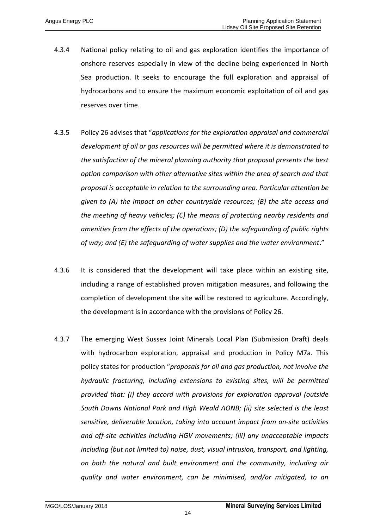- 4.3.4 National policy relating to oil and gas exploration identifies the importance of onshore reserves especially in view of the decline being experienced in North Sea production. It seeks to encourage the full exploration and appraisal of hydrocarbons and to ensure the maximum economic exploitation of oil and gas reserves over time.
- 4.3.5 Policy 26 advises that "*applications for the exploration appraisal and commercial development of oil or gas resources will be permitted where it is demonstrated to the satisfaction of the mineral planning authority that proposal presents the best option comparison with other alternative sites within the area of search and that proposal is acceptable in relation to the surrounding area. Particular attention be given to (A) the impact on other countryside resources; (B) the site access and the meeting of heavy vehicles; (C) the means of protecting nearby residents and amenities from the effects of the operations; (D) the safeguarding of public rights of way; and (E) the safeguarding of water supplies and the water environment*."
- 4.3.6 It is considered that the development will take place within an existing site, including a range of established proven mitigation measures, and following the completion of development the site will be restored to agriculture. Accordingly, the development is in accordance with the provisions of Policy 26.
- 4.3.7 The emerging West Sussex Joint Minerals Local Plan (Submission Draft) deals with hydrocarbon exploration, appraisal and production in Policy M7a. This policy states for production "*proposals for oil and gas production, not involve the hydraulic fracturing, including extensions to existing sites, will be permitted provided that: (i) they accord with provisions for exploration approval (outside South Downs National Park and High Weald AONB; (ii) site selected is the least sensitive, deliverable location, taking into account impact from on-site activities and off-site activities including HGV movements; (iii) any unacceptable impacts including (but not limited to) noise, dust, visual intrusion, transport, and lighting, on both the natural and built environment and the community, including air quality and water environment, can be minimised, and/or mitigated, to an*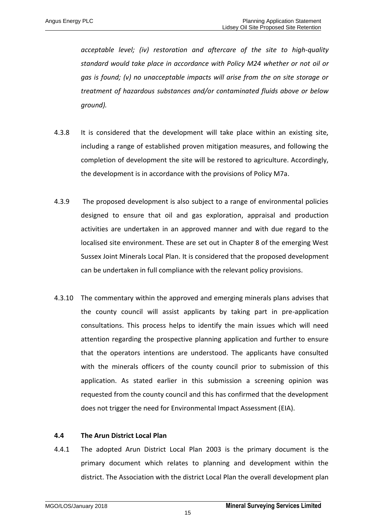*acceptable level; (iv) restoration and aftercare of the site to high-quality standard would take place in accordance with Policy M24 whether or not oil or gas is found; (v) no unacceptable impacts will arise from the on site storage or treatment of hazardous substances and/or contaminated fluids above or below ground).*

- 4.3.8 It is considered that the development will take place within an existing site, including a range of established proven mitigation measures, and following the completion of development the site will be restored to agriculture. Accordingly, the development is in accordance with the provisions of Policy M7a.
- 4.3.9 The proposed development is also subject to a range of environmental policies designed to ensure that oil and gas exploration, appraisal and production activities are undertaken in an approved manner and with due regard to the localised site environment. These are set out in Chapter 8 of the emerging West Sussex Joint Minerals Local Plan. It is considered that the proposed development can be undertaken in full compliance with the relevant policy provisions.
- 4.3.10 The commentary within the approved and emerging minerals plans advises that the county council will assist applicants by taking part in pre-application consultations. This process helps to identify the main issues which will need attention regarding the prospective planning application and further to ensure that the operators intentions are understood. The applicants have consulted with the minerals officers of the county council prior to submission of this application. As stated earlier in this submission a screening opinion was requested from the county council and this has confirmed that the development does not trigger the need for Environmental Impact Assessment (EIA).

### **4.4 The Arun District Local Plan**

4.4.1 The adopted Arun District Local Plan 2003 is the primary document is the primary document which relates to planning and development within the district. The Association with the district Local Plan the overall development plan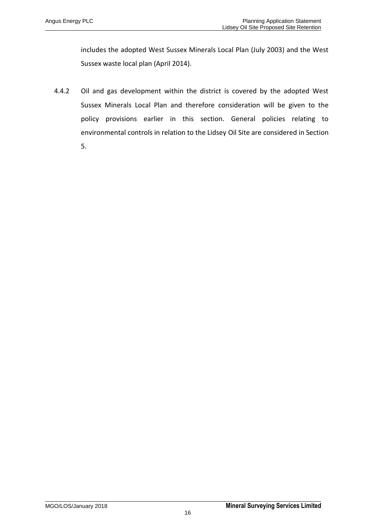includes the adopted West Sussex Minerals Local Plan (July 2003) and the West Sussex waste local plan (April 2014).

4.4.2 Oil and gas development within the district is covered by the adopted West Sussex Minerals Local Plan and therefore consideration will be given to the policy provisions earlier in this section. General policies relating to environmental controls in relation to the Lidsey Oil Site are considered in Section 5.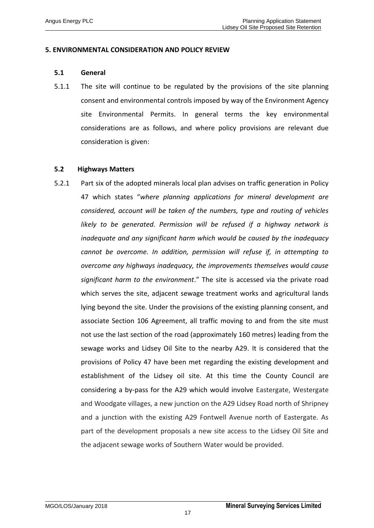#### **5. ENVIRONMENTAL CONSIDERATION AND POLICY REVIEW**

#### **5.1 General**

5.1.1 The site will continue to be regulated by the provisions of the site planning consent and environmental controls imposed by way of the Environment Agency site Environmental Permits. In general terms the key environmental considerations are as follows, and where policy provisions are relevant due consideration is given:

#### **5.2 Highways Matters**

5.2.1 Part six of the adopted minerals local plan advises on traffic generation in Policy 47 which states "*where planning applications for mineral development are considered, account will be taken of the numbers, type and routing of vehicles likely to be generated. Permission will be refused if a highway network is inadequate and any significant harm which would be caused by the inadequacy cannot be overcome. In addition, permission will refuse if, in attempting to overcome any highways inadequacy, the improvements themselves would cause significant harm to the environment*." The site is accessed via the private road which serves the site, adjacent sewage treatment works and agricultural lands lying beyond the site. Under the provisions of the existing planning consent, and associate Section 106 Agreement, all traffic moving to and from the site must not use the last section of the road (approximately 160 metres) leading from the sewage works and Lidsey Oil Site to the nearby A29. It is considered that the provisions of Policy 47 have been met regarding the existing development and establishment of the Lidsey oil site. At this time the County Council are considering a by-pass for the A29 which would involve Eastergate, Westergate and Woodgate villages, a new junction on the A29 Lidsey Road north of Shripney and a junction with the existing A29 Fontwell Avenue north of Eastergate. As part of the development proposals a new site access to the Lidsey Oil Site and the adjacent sewage works of Southern Water would be provided.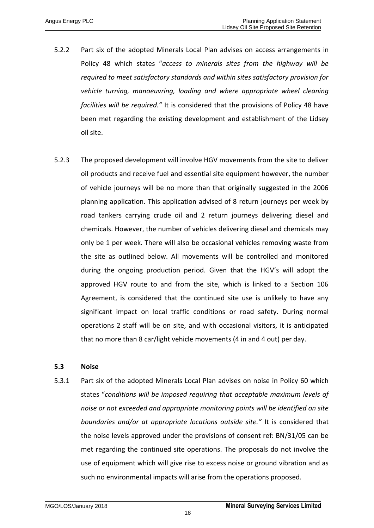- 5.2.2 Part six of the adopted Minerals Local Plan advises on access arrangements in Policy 48 which states "*access to minerals sites from the highway will be required to meet satisfactory standards and within sites satisfactory provision for vehicle turning, manoeuvring, loading and where appropriate wheel cleaning facilities will be required."* It is considered that the provisions of Policy 48 have been met regarding the existing development and establishment of the Lidsey oil site.
- 5.2.3 The proposed development will involve HGV movements from the site to deliver oil products and receive fuel and essential site equipment however, the number of vehicle journeys will be no more than that originally suggested in the 2006 planning application. This application advised of 8 return journeys per week by road tankers carrying crude oil and 2 return journeys delivering diesel and chemicals. However, the number of vehicles delivering diesel and chemicals may only be 1 per week. There will also be occasional vehicles removing waste from the site as outlined below. All movements will be controlled and monitored during the ongoing production period. Given that the HGV's will adopt the approved HGV route to and from the site, which is linked to a Section 106 Agreement, is considered that the continued site use is unlikely to have any significant impact on local traffic conditions or road safety. During normal operations 2 staff will be on site, and with occasional visitors, it is anticipated that no more than 8 car/light vehicle movements (4 in and 4 out) per day.

### **5.3 Noise**

5.3.1 Part six of the adopted Minerals Local Plan advises on noise in Policy 60 which states "*conditions will be imposed requiring that acceptable maximum levels of noise or not exceeded and appropriate monitoring points will be identified on site boundaries and/or at appropriate locations outside site."* It is considered that the noise levels approved under the provisions of consent ref: BN/31/05 can be met regarding the continued site operations. The proposals do not involve the use of equipment which will give rise to excess noise or ground vibration and as such no environmental impacts will arise from the operations proposed.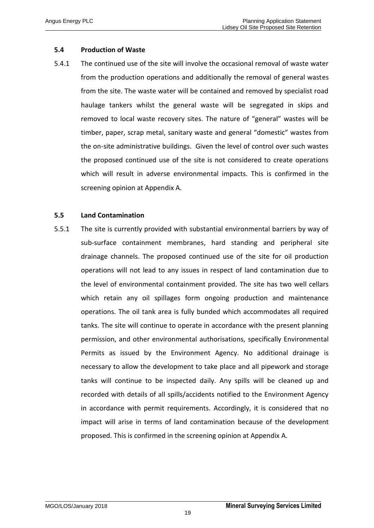# **5.4 Production of Waste**

5.4.1 The continued use of the site will involve the occasional removal of waste water from the production operations and additionally the removal of general wastes from the site. The waste water will be contained and removed by specialist road haulage tankers whilst the general waste will be segregated in skips and removed to local waste recovery sites. The nature of "general" wastes will be timber, paper, scrap metal, sanitary waste and general "domestic" wastes from the on-site administrative buildings. Given the level of control over such wastes the proposed continued use of the site is not considered to create operations which will result in adverse environmental impacts. This is confirmed in the screening opinion at Appendix A.

### **5.5 Land Contamination**

5.5.1 The site is currently provided with substantial environmental barriers by way of sub-surface containment membranes, hard standing and peripheral site drainage channels. The proposed continued use of the site for oil production operations will not lead to any issues in respect of land contamination due to the level of environmental containment provided. The site has two well cellars which retain any oil spillages form ongoing production and maintenance operations. The oil tank area is fully bunded which accommodates all required tanks. The site will continue to operate in accordance with the present planning permission, and other environmental authorisations, specifically Environmental Permits as issued by the Environment Agency. No additional drainage is necessary to allow the development to take place and all pipework and storage tanks will continue to be inspected daily. Any spills will be cleaned up and recorded with details of all spills/accidents notified to the Environment Agency in accordance with permit requirements. Accordingly, it is considered that no impact will arise in terms of land contamination because of the development proposed. This is confirmed in the screening opinion at Appendix A.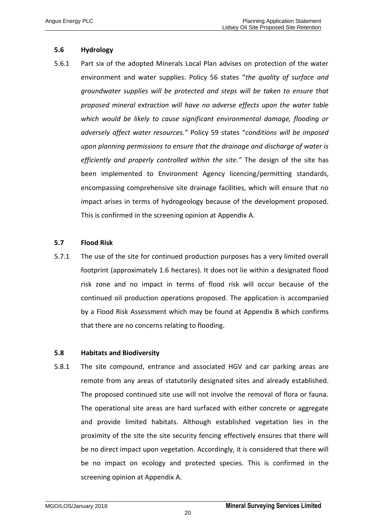# **5.6 Hydrology**

5.6.1 Part six of the adopted Minerals Local Plan advises on protection of the water environment and water supplies. Policy 56 states "*the quality of surface and groundwater supplies will be protected and steps will be taken to ensure that proposed mineral extraction will have no adverse effects upon the water table which would be likely to cause significant environmental damage, flooding or adversely affect water resources."* Policy 59 states "*conditions will be imposed upon planning permissions to ensure that the drainage and discharge of water is efficiently and properly controlled within the site."* The design of the site has been implemented to Environment Agency licencing/permitting standards, encompassing comprehensive site drainage facilities, which will ensure that no impact arises in terms of hydrogeology because of the development proposed. This is confirmed in the screening opinion at Appendix A.

# **5.7 Flood Risk**

5.7.1 The use of the site for continued production purposes has a very limited overall footprint (approximately 1.6 hectares). It does not lie within a designated flood risk zone and no impact in terms of flood risk will occur because of the continued oil production operations proposed. The application is accompanied by a Flood Risk Assessment which may be found at Appendix B which confirms that there are no concerns relating to flooding.

### **5.8 Habitats and Biodiversity**

5.8.1 The site compound, entrance and associated HGV and car parking areas are remote from any areas of statutorily designated sites and already established. The proposed continued site use will not involve the removal of flora or fauna. The operational site areas are hard surfaced with either concrete or aggregate and provide limited habitats. Although established vegetation lies in the proximity of the site the site security fencing effectively ensures that there will be no direct impact upon vegetation. Accordingly, it is considered that there will be no impact on ecology and protected species. This is confirmed in the screening opinion at Appendix A.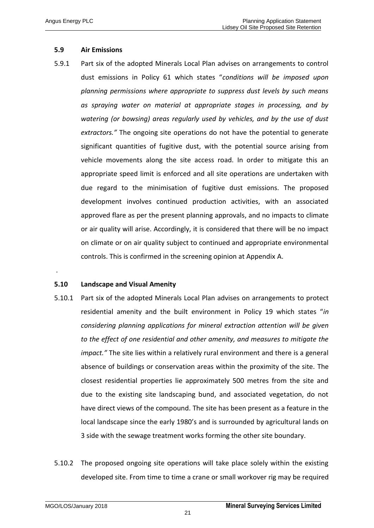# **5.9 Air Emissions**

5.9.1 Part six of the adopted Minerals Local Plan advises on arrangements to control dust emissions in Policy 61 which states "*conditions will be imposed upon planning permissions where appropriate to suppress dust levels by such means as spraying water on material at appropriate stages in processing, and by watering (or bowsing) areas regularly used by vehicles, and by the use of dust extractors."* The ongoing site operations do not have the potential to generate significant quantities of fugitive dust, with the potential source arising from vehicle movements along the site access road. In order to mitigate this an appropriate speed limit is enforced and all site operations are undertaken with due regard to the minimisation of fugitive dust emissions. The proposed development involves continued production activities, with an associated approved flare as per the present planning approvals, and no impacts to climate or air quality will arise. Accordingly, it is considered that there will be no impact on climate or on air quality subject to continued and appropriate environmental controls. This is confirmed in the screening opinion at Appendix A.

### **5.10 Landscape and Visual Amenity**

.

- 5.10.1 Part six of the adopted Minerals Local Plan advises on arrangements to protect residential amenity and the built environment in Policy 19 which states "*in considering planning applications for mineral extraction attention will be given to the effect of one residential and other amenity, and measures to mitigate the impact."* The site lies within a relatively rural environment and there is a general absence of buildings or conservation areas within the proximity of the site. The closest residential properties lie approximately 500 metres from the site and due to the existing site landscaping bund, and associated vegetation, do not have direct views of the compound. The site has been present as a feature in the local landscape since the early 1980's and is surrounded by agricultural lands on 3 side with the sewage treatment works forming the other site boundary.
- 5.10.2 The proposed ongoing site operations will take place solely within the existing developed site. From time to time a crane or small workover rig may be required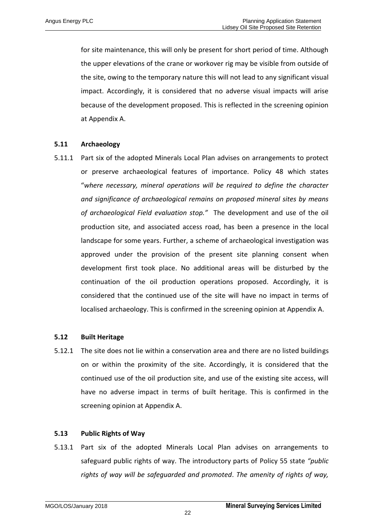for site maintenance, this will only be present for short period of time. Although the upper elevations of the crane or workover rig may be visible from outside of the site, owing to the temporary nature this will not lead to any significant visual impact. Accordingly, it is considered that no adverse visual impacts will arise because of the development proposed. This is reflected in the screening opinion at Appendix A.

### **5.11 Archaeology**

5.11.1 Part six of the adopted Minerals Local Plan advises on arrangements to protect or preserve archaeological features of importance. Policy 48 which states "*where necessary, mineral operations will be required to define the character and significance of archaeological remains on proposed mineral sites by means of archaeological Field evaluation stop."* The development and use of the oil production site, and associated access road, has been a presence in the local landscape for some years. Further, a scheme of archaeological investigation was approved under the provision of the present site planning consent when development first took place. No additional areas will be disturbed by the continuation of the oil production operations proposed. Accordingly, it is considered that the continued use of the site will have no impact in terms of localised archaeology. This is confirmed in the screening opinion at Appendix A.

### **5.12 Built Heritage**

5.12.1 The site does not lie within a conservation area and there are no listed buildings on or within the proximity of the site. Accordingly, it is considered that the continued use of the oil production site, and use of the existing site access, will have no adverse impact in terms of built heritage. This is confirmed in the screening opinion at Appendix A.

### **5.13 Public Rights of Way**

5.13.1 Part six of the adopted Minerals Local Plan advises on arrangements to safeguard public rights of way. The introductory parts of Policy 55 state *"public rights of way will be safeguarded and promoted*. *The amenity of rights of way,*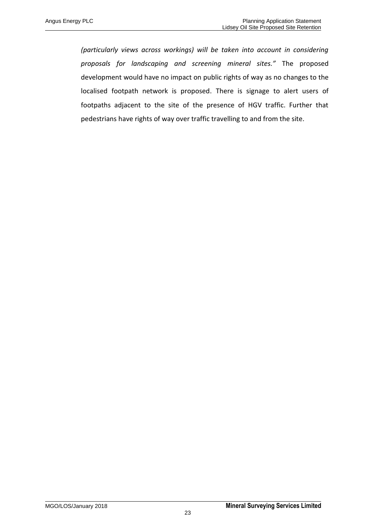*(particularly views across workings) will be taken into account in considering proposals for landscaping and screening mineral sites."* The proposed development would have no impact on public rights of way as no changes to the localised footpath network is proposed. There is signage to alert users of footpaths adjacent to the site of the presence of HGV traffic. Further that pedestrians have rights of way over traffic travelling to and from the site.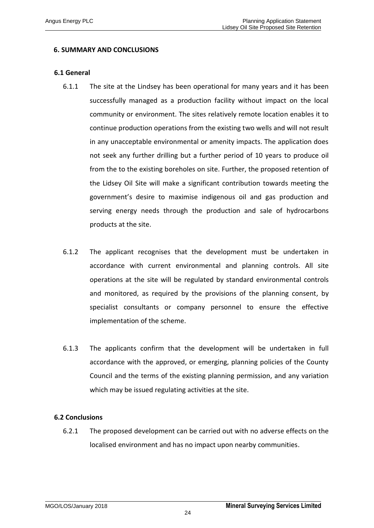## **6. SUMMARY AND CONCLUSIONS**

#### **6.1 General**

- 6.1.1 The site at the Lindsey has been operational for many years and it has been successfully managed as a production facility without impact on the local community or environment. The sites relatively remote location enables it to continue production operations from the existing two wells and will not result in any unacceptable environmental or amenity impacts. The application does not seek any further drilling but a further period of 10 years to produce oil from the to the existing boreholes on site. Further, the proposed retention of the Lidsey Oil Site will make a significant contribution towards meeting the government's desire to maximise indigenous oil and gas production and serving energy needs through the production and sale of hydrocarbons products at the site.
- 6.1.2 The applicant recognises that the development must be undertaken in accordance with current environmental and planning controls. All site operations at the site will be regulated by standard environmental controls and monitored, as required by the provisions of the planning consent, by specialist consultants or company personnel to ensure the effective implementation of the scheme.
- 6.1.3 The applicants confirm that the development will be undertaken in full accordance with the approved, or emerging, planning policies of the County Council and the terms of the existing planning permission, and any variation which may be issued regulating activities at the site.

### **6.2 Conclusions**

6.2.1 The proposed development can be carried out with no adverse effects on the localised environment and has no impact upon nearby communities.